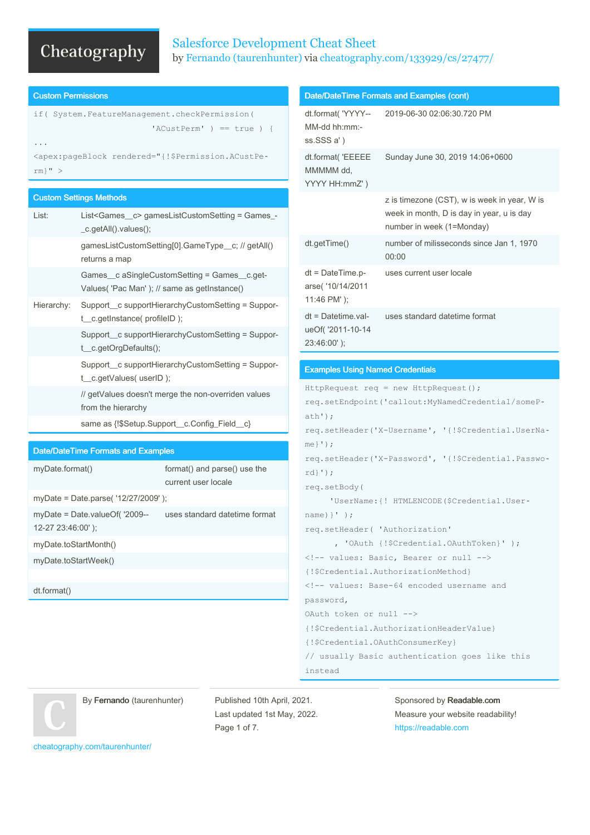## Salesforce Development Cheat Sheet by Fernando [\(taurenhunter\)](http://www.cheatography.com/taurenhunter/) via [cheatography.com/133929/cs/27477/](http://www.cheatography.com/taurenhunter/cheat-sheets/salesforce-development)

| <b>Custom Permissions</b>                                                           |                                                                                                  |                                                                                                                                                           | Date/DateTime Formats and Examples (cont)                                                                                                                                                                         |                                                                        |
|-------------------------------------------------------------------------------------|--------------------------------------------------------------------------------------------------|-----------------------------------------------------------------------------------------------------------------------------------------------------------|-------------------------------------------------------------------------------------------------------------------------------------------------------------------------------------------------------------------|------------------------------------------------------------------------|
| $\cdots$                                                                            |                                                                                                  | if ( System. FeatureManagement. checkPermission (<br>'ACustPerm' $) == true$ } {                                                                          | dt.format( 'YYYY--<br>MM-dd hh:mm:-<br>ss.SSS a')                                                                                                                                                                 | 2019-06-30 02:06:30.720 PM                                             |
| $rm\$ " >                                                                           |                                                                                                  | <apex:pageBlock rendered="{!\$Permission.ACustPe-</td> <td>dt.format('EEEEE<br/>MMMMM dd,<br/>YYYY HH:mmZ')</td> <td>Sunday June 30, 2019 14:06+0600</td> | dt.format('EEEEE<br>MMMMM dd,<br>YYYY HH:mmZ')                                                                                                                                                                    | Sunday June 30, 2019 14:06+0600                                        |
|                                                                                     | <b>Custom Settings Methods</b>                                                                   |                                                                                                                                                           |                                                                                                                                                                                                                   | z is timezone (CST), w is week in year, W is                           |
| List:                                                                               | List <games_c> gamesListCustomSetting = Games_-<br/><math>_c.getAll().values()</math>;</games_c> |                                                                                                                                                           |                                                                                                                                                                                                                   | week in month, D is day in year, u is day<br>number in week (1=Monday) |
|                                                                                     | returns a map                                                                                    | gamesListCustomSetting[0].GameType_c; // getAll()                                                                                                         | dt.getTime()                                                                                                                                                                                                      | number of milisseconds since Jan 1, 1970<br>00:00                      |
|                                                                                     |                                                                                                  | Games c aSingleCustomSetting = Games c.get-<br>Values('Pac Man'); // same as getInstance()                                                                | $dt = DateTime.p-$<br>arse( '10/14/2011                                                                                                                                                                           | uses current user locale                                               |
| Hierarchy:                                                                          | t_c.getInstance(profileID);                                                                      | Support_c supportHierarchyCustomSetting = Suppor-                                                                                                         | 11:46 PM' );<br>$dt =$ Datetime.val-                                                                                                                                                                              | uses standard datetime format                                          |
|                                                                                     | t_c.getOrgDefaults();                                                                            | Support_c supportHierarchyCustomSetting = Suppor-                                                                                                         | ueOf( '2011-10-14<br>23:46:00');                                                                                                                                                                                  |                                                                        |
|                                                                                     | Support_c supportHierarchyCustomSetting = Suppor-<br>t_c.getValues( userID );                    |                                                                                                                                                           | <b>Examples Using Named Credentials</b>                                                                                                                                                                           |                                                                        |
|                                                                                     | // getValues doesn't merge the non-overriden values<br>from the hierarchy                        |                                                                                                                                                           | HttpRequest req = new HttpRequest();<br>req.setEndpoint('callout:MyNamedCredential/someP-                                                                                                                         |                                                                        |
|                                                                                     | same as {!\$Setup.Support_c.Config_Field_c}                                                      |                                                                                                                                                           | $ath$ );                                                                                                                                                                                                          |                                                                        |
|                                                                                     |                                                                                                  |                                                                                                                                                           | req.setHeader('X-Username', '{!\$Credential.UserNa-                                                                                                                                                               |                                                                        |
|                                                                                     | <b>Date/DateTime Formats and Examples</b>                                                        |                                                                                                                                                           | $me$ } $'$ ) ;<br>req.setHeader('X-Password', '{ !\$Credential. Passwo-                                                                                                                                           |                                                                        |
| myDate.format()                                                                     |                                                                                                  | format() and parse() use the<br>current user locale                                                                                                       | $rd$ $\}$ $\prime$ $\prime$ $\prime$                                                                                                                                                                              |                                                                        |
|                                                                                     | myDate = Date.parse( '12/27/2009');                                                              |                                                                                                                                                           | req.setBody(<br>'UserName: {! HTMLENCODE (\$Credential.User-                                                                                                                                                      |                                                                        |
| myDate = Date.valueOf('2009--<br>uses standard datetime format<br>12-27 23:46:00'); |                                                                                                  | name $)$ } $'$ ) ;                                                                                                                                        |                                                                                                                                                                                                                   |                                                                        |
|                                                                                     |                                                                                                  |                                                                                                                                                           | req.setHeader( 'Authorization'                                                                                                                                                                                    |                                                                        |
| myDate.toStartMonth()                                                               |                                                                                                  |                                                                                                                                                           | , 'OAuth { !\$Credential. OAuthToken }' ) ;                                                                                                                                                                       |                                                                        |
| myDate.toStartWeek()                                                                |                                                                                                  |                                                                                                                                                           | values: Basic, Bearer or null                                                                                                                                                                                     |                                                                        |
|                                                                                     |                                                                                                  |                                                                                                                                                           | {!\$Credential.AuthorizationMethod}                                                                                                                                                                               |                                                                        |
| dt.format()                                                                         |                                                                                                  |                                                                                                                                                           | values: Base-64 encoded username and</td></tr><tr><td></td><td></td><td></td><td>password,</td><td></td></tr><tr><td colspan=3></td><td colspan=2>OAuth token or null<br>{!\$Credential.AuthorizationHeaderValue} |                                                                        |
|                                                                                     |                                                                                                  |                                                                                                                                                           | {!\$Credential.OAuthConsumerKey}                                                                                                                                                                                  |                                                                        |
|                                                                                     |                                                                                                  |                                                                                                                                                           | // usually Basic authentication goes like this                                                                                                                                                                    |                                                                        |
|                                                                                     |                                                                                                  |                                                                                                                                                           | instead                                                                                                                                                                                                           |                                                                        |

By Fernando (taurenhunter)

Published 10th April, 2021. Last updated 1st May, 2022. Page 1 of 7.

Sponsored by Readable.com Measure your website readability! <https://readable.com>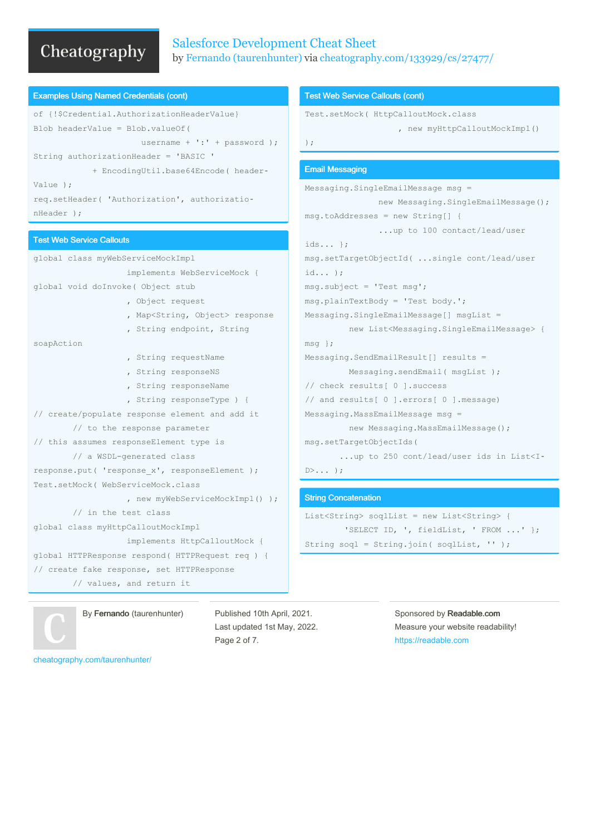Examples Using Named Credentials (cont)

of {!\$Credential.AuthorizationHeaderValue}

## Salesforce Development Cheat Sheet by Fernando [\(taurenhunter\)](http://www.cheatography.com/taurenhunter/) via [cheatography.com/133929/cs/27477/](http://www.cheatography.com/taurenhunter/cheat-sheets/salesforce-development)

## Blob headerValue = Blob.valueOf( username + ':' + password ); String authorizationHeader = 'BASIC ' + EncodingUtil.base64Encode( header‐ Value ); req.setHeader( 'Authorization', authorizatio‐ nHeader ); Test Web Service Callouts global class myWebServiceMockImpl implements WebServiceMock { global void doInvoke( Object stub , Object request , Map<String, Object> response , String endpoint, String soapAction , String requestName , String responseNS , String responseName , String responseType ) { // create/populate response element and add it // to the response parameter // this assumes responseElement type is // a WSDL-generated class response.put( 'response\_x', responseElement ); Test.setMock( WebServiceMock.class , new myWebServiceMockImpl() ); // in the test class global class myHttpCalloutMockImpl implements HttpCalloutMock { global HTTPResponse respond( HTTPRequest req ) { // create fake response, set HTTPResponse

// values, and return it

By Fernando (taurenhunter)

Published 10th April, 2021. Last updated 1st May, 2022. Page 2 of 7.

Sponsored by Readable.com Measure your website readability! <https://readable.com>

#### Test Web Service Callouts (cont)

```
Test.setMock( HttpCalloutMock.class
```
, new myHttpCalloutMockImpl()

```
);
```
#### Email Messaging

```
Messaging.SingleEmailMessage msg =
              new Messaging.SingleEmailMessage();
msg.toAddresses = new String[] {
               ...up to 100 contact/lead/user
ids... };
msg.setTargetObjectId( ...single cont/lead/user
id... );
msg.subject = 'Test msg';
msg.plainTextBody = 'Test body.';
Messaging.SingleEmailMessage[] msgList =
         new List<Messaging.SingleEmailMessage> {
msg };
Messaging.SendEmailResult[] results =
        Messaging.sendEmail( msgList );
// check results[ 0 ].success
// and results[ 0 ].errors[ 0 ].message)
Messaging.MassEmailMessage msg =
        new Messaging.MassEmailMessage();
msg.setTargetObjectIds(
      ...up to 250 cont/lead/user ids in List<I‐
D>... );
```
#### String Concatenation

```
List<String> soqlList = new List<String> {
        'SELECT ID, ', fieldList, ' FROM ...' };
String soql = String.join( soqlList, '' );
```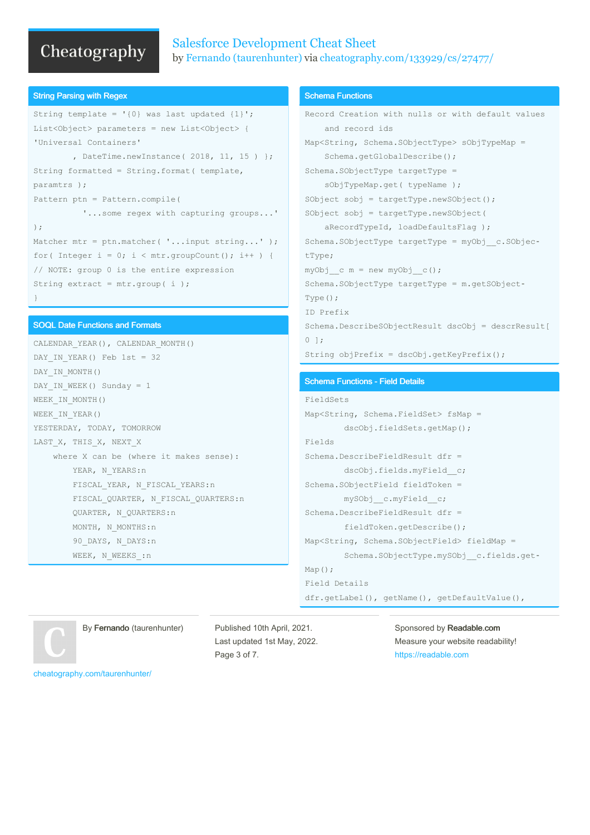### Salesforce Development Cheat Sheet by Fernando [\(taurenhunter\)](http://www.cheatography.com/taurenhunter/) via [cheatography.com/133929/cs/27477/](http://www.cheatography.com/taurenhunter/cheat-sheets/salesforce-development)

#### String Parsing with Regex

```
String template = '(0) was last updated \{1\}';
List<Object> parameters = new List<Object> {
'Universal Containers'
        , DateTime.newInstance( 2018, 11, 15 ) };
String formatted = String.format( template,
paramtrs );
Pattern ptn = Pattern.compile(
         '...some regex with capturing groups...'
) \, ;
Matcher mtr = ptn.matcher( \cdot...input string...');
for( Integer i = 0; i < \text{mtr.groupCount}(); i++) {
// NOTE: group 0 is the entire expression
String extract = mtr.qroup(i);
}
```
#### SOQL Date Functions and Formats

```
CALENDAR_YEAR(), CALENDAR_MONTH()
DAY_IN_YEAR() Feb 1st = 32
DAY IN MONTH()
DAY_IN_WEEK() Sunday = 1
WEEK IN MONTH()
WEEK IN YEAR()
YESTERDAY, TODAY, TOMORROW
LAST_X, THIS_X, NEXT_X
    where X can be (where it makes sense):
       YEAR, N_YEARS:n
       FISCAL_YEAR, N_FISCAL_YEARS:n
       FISCAL QUARTER, N_FISCAL QUARTERS:n
       QUARTER, N_QUARTERS:n
       MONTH, N_MONTHS:n
       90_DAYS, N_DAYS:n
       WEEK, N_WEEKS : n
```
#### Schema Functions

```
Record Creation with nulls or with default values
    and record ids
Map<String, Schema.SObjectType> sObjTypeMap =
   Schema.getGlobalDescribe();
Schema.SObjectType targetType =
    sObjTypeMap.get( typeName ) ;
SObject sobj = targetType.newSObject();
SObject sobj = targetType.newSObject(
    aRecordTypeId, loadDefaultsFlag );
Schema.SObjectType targetType = myObj__c.SObjec‐
tType;
myObj c m = new myObj c();
Schema.SObjectType targetType = m.getSObject‐
Type();
ID Prefix
Schema.DescribeSObjectResult dscObj = descrResult[
0 1;String objPrefix = dscObj.getKeyPrefix();
```
#### Schema Functions - Field Details

```
FieldSets
Map<String, Schema.FieldSet> fsMap =
       dscObj.fieldSets.getMap();
Fields
Schema.DescribeFieldResult dfr =
       dscObj.fields.myField c;
Schema.SObjectField fieldToken =
       mySObj__c.myField__c;
Schema.DescribeFieldResult dfr =
        fieldToken.getDescribe();
Map<String, Schema.SObjectField> fieldMap =
        Schema.SObjectType.mySObj__c.fields.get‐
Map();
Field Details
dfr.getLabel(), getName(), getDefaultValue(),
```
By Fernando (taurenhunter)

Published 10th April, 2021. Last updated 1st May, 2022. Page 3 of 7.

Sponsored by Readable.com Measure your website readability! <https://readable.com>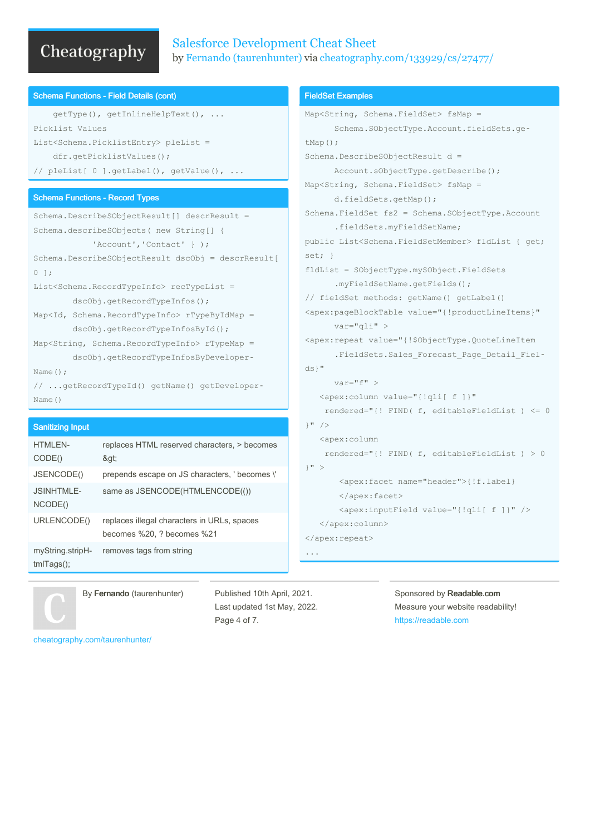## Salesforce Development Cheat Sheet by Fernando [\(taurenhunter\)](http://www.cheatography.com/taurenhunter/) via [cheatography.com/133929/cs/27477/](http://www.cheatography.com/taurenhunter/cheat-sheets/salesforce-development)

#### Schema Functions - Field Details (cont) getType(), getInlineHelpText(), ... Picklist Values List<Schema.PicklistEntry> pleList = dfr.getPicklistValues(); // pleList[ 0 ].getLabel(), getValue(), ... Schema Functions - Record Types Schema.DescribeSObjectResult[] descrResult = Schema.describeSObjects( new String[] { 'Account', 'Contact' } ); Schema.DescribeSObjectResult dscObj = descrResult[ 0 ]; List<Schema.RecordTypeInfo> recTypeList = dscObj.getRecordTypeInfos(); Map<Id, Schema.RecordTypeInfo> rTypeByIdMap = dscObj.getRecordTypeInfosById(); Map<String, Schema.RecordTypeInfo> rTypeMap = dscObj.getRecordTypeInfosByDeveloper‐ Name(); // ...getRecordTypeId() getName() getDeveloper‐ Name() Sanitizing Input HTMLEN‐ CODE() replaces HTML reserved characters, > becomes > JSENCODE() prepends escape on JS characters, ' becomes \' JSINHTMLE‐ NCODE() same as JSENCODE(HTMLENCODE(()) URLENCODE() replaces illegal characters in URLs, spaces becomes %20, ? becomes %21 myString.stripH‐ tmlTags(); removes tags from string tMap(); set; } ds}" }" />  $\}$ " > ...



By Fernando (taurenhunter)

Published 10th April, 2021. Last updated 1st May, 2022. Page 4 of 7.

Sponsored by Readable.com Measure your website readability! <https://readable.com>

### FieldSet Examples

```
Map<String, Schema.FieldSet> fsMap =
      Schema.SObjectType.Account.fieldSets.ge‐
Schema.DescribeSObjectResult d =
     Account.sObjectType.getDescribe();
Map<String, Schema.FieldSet> fsMap =
     d.fieldSets.getMap();
Schema.FieldSet fs2 = Schema.SObjectType.Account
      .fieldSets.myFieldSetName;
public List<Schema.FieldSetMember> fldList { get;
fldList = SObjectType.mySObject.FieldSets
      .myFieldSetName.getFields();
// fieldSet methods: getName() getLabel()
<apex:pageBlockTable value="{!productLineItems}"
      var="qli" >
<apex:repeat value="{!$ObjectType.QuoteLineItem
      .FieldSets.Sales Forecast Page Detail Fiel-
      var="f" >
   <apex:column value="{!qli[ f ]}"
    rendered="{! FIND( f, editableFieldList ) <= 0
   <apex:column
    rendered="{! FIND( f, editableFieldList ) > 0
       <apex:facet name="header">{!f.label}
       </apex:facet>
       <apex:inputField value="{!qli[ f ]}" />
   </apex:column>
</apex:repeat>
```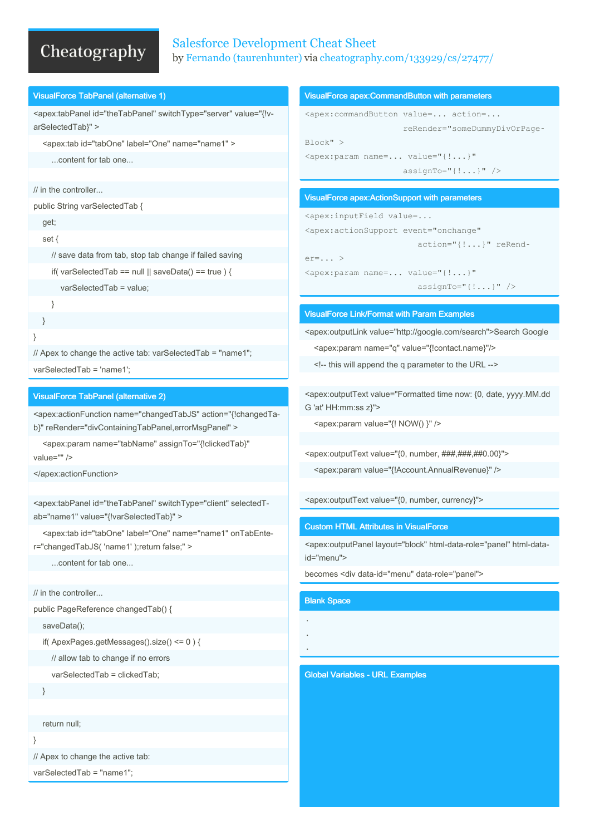## Salesforce Development Cheat Sheet by Fernando [\(taurenhunter\)](http://www.cheatography.com/taurenhunter/) via [cheatography.com/133929/cs/27477/](http://www.cheatography.com/taurenhunter/cheat-sheets/salesforce-development)

```
VisualForce TabPanel (alternative 1)
<apex:tabPanel id="theTabPanel" switchType="server" value="{!v‐
arSelectedTab}" >
  <apex:tab id="tabOne" label="One" name="name1" >
     ...content for tab one...
// in the controller...
public String varSelectedTab {
  get;
  set {
    // save data from tab, stop tab change if failed saving
    if( varSelectedTab == null || saveData() == true ) {
       varSelectedTab = value;
    }
  }
}
// Apex to change the active tab: varSelectedTab = "name1";
varSelectedTab = 'name1';
VisualForce TabPanel (alternative 2)
<apex:actionFunction name="changedTabJS" action="{!changedTa‐
b}" reRender="divContainingTabPanel,errorMsgPanel" >
  <apex:param name="tabName" assignTo="{!clickedTab}"
value="" />
</apex:actionFunction>
<apex:tabPanel id="theTabPanel" switchType="client" selectedT‐
ab="name1" value="{!varSelectedTab}" >
  <apex:tab id="tabOne" label="One" name="name1" onTabEnte‐
r="changedTabJS( 'name1' );return false;" >
    ...content for tab one...
// in the controller...
public PageReference changedTab() {
  saveData();
  if( ApexPages.getMessages().size() <= 0 ) {
    // allow tab to change if no errors
    varSelectedTab = clickedTab;
  }
  return null;
                                                                      VisualForce apex:CommandButton with parameters
                                                                      <apex:commandButton value=... action=...
                                                                                               reRender="someDummyDivOrPage‐
                                                                      Block" >
                                                                      <apex:param name=... value="{!...}"
                                                                                               assignTo="{!...}" />
                                                                      VisualForce apex:ActionSupport with parameters
                                                                      <apex:inputField value=...
                                                                      <apex:actionSupport event="onchange"
                                                                                                   action="{!...}" reRend‐
                                                                      er=\ldots ><apex:param name=... value="{!...}"
                                                                                                   assignTo="{!...}" />
                                                                      VisualForce Link/Format with Param Examples
                                                                      <apex:outputLink value="http://google.com/search">Search Google
                                                                         <apex:param name="q" value="{!contact.name}"/>
                                                                         <!-- this will append the q parameter to the URL -->
                                                                      <apex:outputText value="Formatted time now: {0, date, yyyy.MM.dd
                                                                      G 'at' HH:mm:ss z}">
                                                                        <apex:param value="{! NOW() }" />
                                                                      <apex:outputText value="{0, number, ###,###,##0.00}">
                                                                         <apex:param value="{!Account.AnnualRevenue}" />
                                                                      <apex:outputText value="{0, number, currency}">
                                                                      Custom HTML Attributes in VisualForce
                                                                      <apex:outputPanel layout="block" html-data-role="panel" html-data-
                                                                      id="menu">
                                                                      becomes <div data-id="menu" data-role="panel">
                                                                      Blank Space
                                                                      .
                                                                      .
                                                                      .
                                                                      Global Variables - URL Examples
```
}

// Apex to change the active tab:

varSelectedTab = "name1";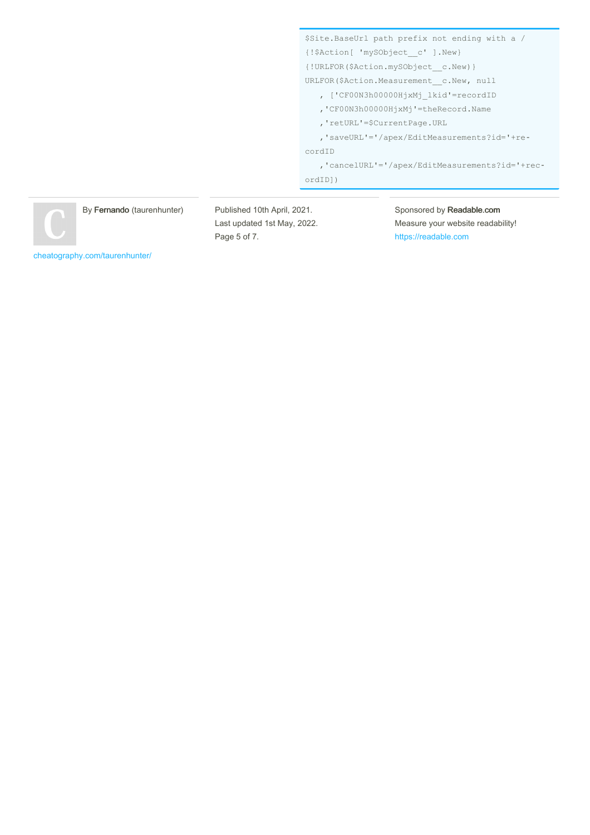| By Fernando (taurenhunter) | Published 10th April, 2021. | Sponsored by Readable.com                       |
|----------------------------|-----------------------------|-------------------------------------------------|
|                            |                             |                                                 |
|                            | ordID)                      |                                                 |
|                            |                             | , 'cancelURL'='/apex/EditMeasurements?id='+rec- |
|                            | cordID                      |                                                 |
|                            |                             | , 'saveURL'='/apex/EditMeasurements?id='+re-    |
|                            |                             | , 'retURL'=\$CurrentPage.URL                    |
|                            |                             | , 'CF00N3h00000HjxMj'=theRecord.Name            |
|                            |                             | , ['CF00N3h00000HjxMj lkid'=recordID            |
|                            |                             | URLFOR (\$Action.Measurement c.New, null        |
|                            |                             | { !URLFOR (\$Action.mySObject c.New) }          |
|                            |                             | {!\$Action[ 'mySObject c' ].New}                |
|                            |                             | \$Site.BaseUrl path prefix not ending with a /  |

Last updated 1st May, 2022. Page 5 of 7.

Measure your website readability! <https://readable.com>